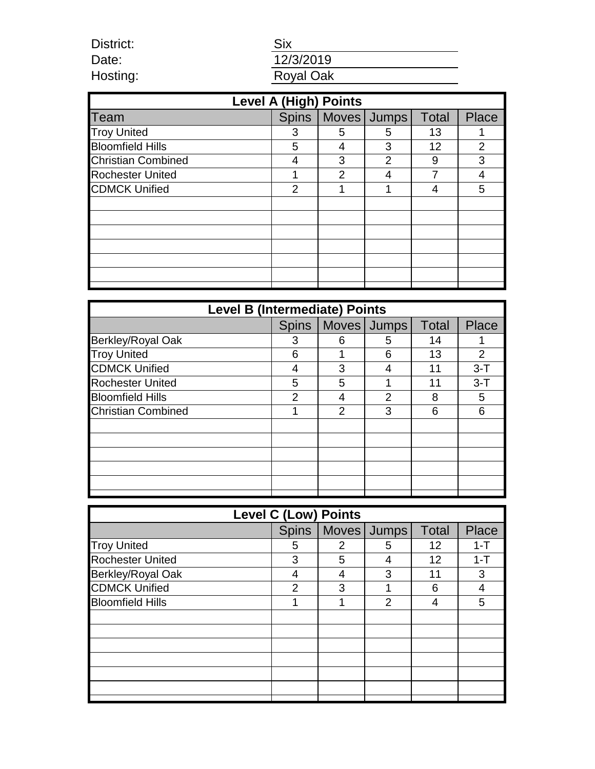District: Date: Hosting:

# Six 12/3/2019 Royal Oak

| <b>Level A (High) Points</b> |              |                |               |              |                |  |  |  |
|------------------------------|--------------|----------------|---------------|--------------|----------------|--|--|--|
| Team                         | <b>Spins</b> | Moves          | <b>Jumps</b>  | <b>Total</b> | <b>Place</b>   |  |  |  |
| <b>Troy United</b>           | 3            | 5              | 5             | 13           |                |  |  |  |
| <b>Bloomfield Hills</b>      | 5            | 4              | 3             | 12           | $\overline{2}$ |  |  |  |
| <b>Christian Combined</b>    | 4            | 3              | $\mathcal{P}$ | 9            | 3              |  |  |  |
| <b>Rochester United</b>      |              | $\overline{2}$ |               |              | 4              |  |  |  |
| <b>CDMCK Unified</b>         | 2            |                |               | 4            | 5              |  |  |  |
|                              |              |                |               |              |                |  |  |  |
|                              |              |                |               |              |                |  |  |  |
|                              |              |                |               |              |                |  |  |  |
|                              |              |                |               |              |                |  |  |  |
|                              |              |                |               |              |                |  |  |  |
|                              |              |                |               |              |                |  |  |  |
|                              |              |                |               |              |                |  |  |  |

| <b>Level B (Intermediate) Points</b> |                |   |             |              |         |  |  |
|--------------------------------------|----------------|---|-------------|--------------|---------|--|--|
|                                      | <b>Spins</b>   |   | Moves Jumps | <b>Total</b> | Place   |  |  |
| Berkley/Royal Oak                    | 3              | 6 | 5           | 14           |         |  |  |
| <b>Troy United</b>                   | 6              | 1 | 6           | 13           | 2       |  |  |
| <b>CDMCK Unified</b>                 | 4              | 3 | 4           | 11           | $3 - T$ |  |  |
| <b>Rochester United</b>              | 5              | 5 |             | 11           | $3-T$   |  |  |
| <b>Bloomfield Hills</b>              | $\overline{2}$ | 4 | 2           | 8            | 5       |  |  |
| <b>Christian Combined</b>            |                | 2 | 3           | 6            | 6       |  |  |
|                                      |                |   |             |              |         |  |  |
|                                      |                |   |             |              |         |  |  |
|                                      |                |   |             |              |         |  |  |
|                                      |                |   |             |              |         |  |  |
|                                      |                |   |             |              |         |  |  |
|                                      |                |   |             |              |         |  |  |

| <b>Level C (Low) Points</b> |   |   |                       |              |         |  |  |
|-----------------------------|---|---|-----------------------|--------------|---------|--|--|
|                             |   |   | Spins   Moves   Jumps | <b>Total</b> | Place   |  |  |
| <b>Troy United</b>          | 5 | 2 | 5                     | 12           | $1 - T$ |  |  |
| <b>Rochester United</b>     | 3 | 5 | 4                     | 12           | $1 - T$ |  |  |
| Berkley/Royal Oak           | 4 |   | 3                     | 11           | 3       |  |  |
| <b>CDMCK Unified</b>        | 2 | 3 |                       | 6            | 4       |  |  |
| <b>Bloomfield Hills</b>     |   |   | 2                     |              | 5       |  |  |
|                             |   |   |                       |              |         |  |  |
|                             |   |   |                       |              |         |  |  |
|                             |   |   |                       |              |         |  |  |
|                             |   |   |                       |              |         |  |  |
|                             |   |   |                       |              |         |  |  |
|                             |   |   |                       |              |         |  |  |
|                             |   |   |                       |              |         |  |  |